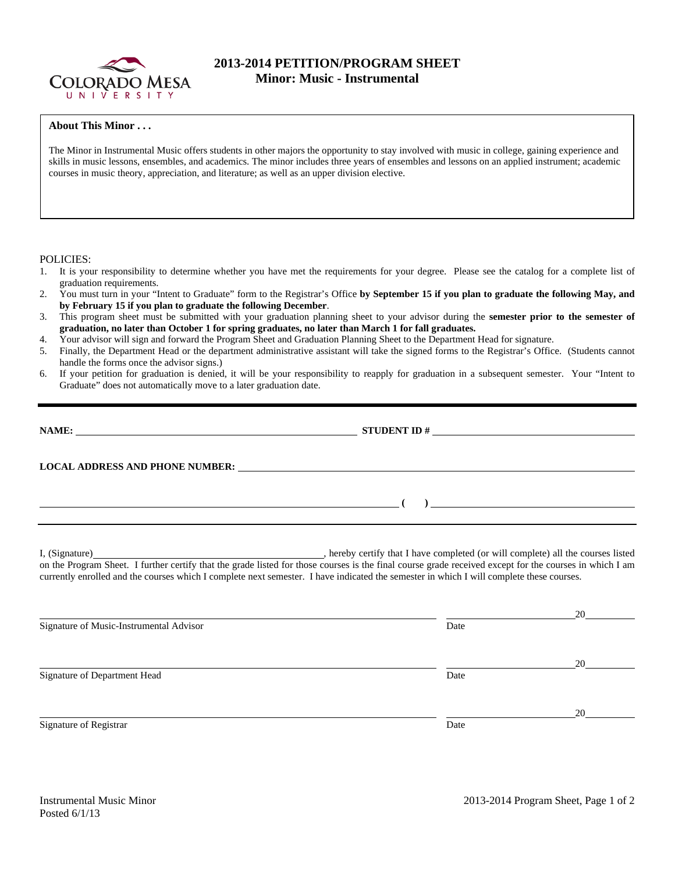

## **2013-2014 PETITION/PROGRAM SHEET Minor: Music - Instrumental**

## **About This Minor . . .**

The Minor in Instrumental Music offers students in other majors the opportunity to stay involved with music in college, gaining experience and skills in music lessons, ensembles, and academics. The minor includes three years of ensembles and lessons on an applied instrument; academic courses in music theory, appreciation, and literature; as well as an upper division elective.

## POLICIES:

- 1. It is your responsibility to determine whether you have met the requirements for your degree. Please see the catalog for a complete list of graduation requirements.
- 2. You must turn in your "Intent to Graduate" form to the Registrar's Office **by September 15 if you plan to graduate the following May, and by February 15 if you plan to graduate the following December**.
- 3. This program sheet must be submitted with your graduation planning sheet to your advisor during the **semester prior to the semester of graduation, no later than October 1 for spring graduates, no later than March 1 for fall graduates.**
- 4. Your advisor will sign and forward the Program Sheet and Graduation Planning Sheet to the Department Head for signature.
- 5. Finally, the Department Head or the department administrative assistant will take the signed forms to the Registrar's Office. (Students cannot handle the forms once the advisor signs.)
- 6. If your petition for graduation is denied, it will be your responsibility to reapply for graduation in a subsequent semester. Your "Intent to Graduate" does not automatically move to a later graduation date.

|                                                                                                                      | LOCAL ADDRESS AND PHONE NUMBER: The contract of the contract of the contract of the contract of the contract of the contract of the contract of the contract of the contract of the contract of the contract of the contract o                                                                                                                                     |    |
|----------------------------------------------------------------------------------------------------------------------|--------------------------------------------------------------------------------------------------------------------------------------------------------------------------------------------------------------------------------------------------------------------------------------------------------------------------------------------------------------------|----|
| <u> Alexandria de la contrada de la contrada de la contrada de la contrada de la contrada de la contrada de la c</u> | $\begin{picture}(150,10) \put(0,0){\vector(1,0){100}} \put(15,0){\vector(1,0){100}} \put(15,0){\vector(1,0){100}} \put(15,0){\vector(1,0){100}} \put(15,0){\vector(1,0){100}} \put(15,0){\vector(1,0){100}} \put(15,0){\vector(1,0){100}} \put(15,0){\vector(1,0){100}} \put(15,0){\vector(1,0){100}} \put(15,0){\vector(1,0){100}} \put(15,0){\vector(1,0){100}}$ |    |
|                                                                                                                      | on the Program Sheet. I further certify that the grade listed for those courses is the final course grade received except for the courses in which I am<br>currently enrolled and the courses which I complete next semester. I have indicated the semester in which I will complete these courses.                                                                |    |
| Signature of Music-Instrumental Advisor                                                                              | Date                                                                                                                                                                                                                                                                                                                                                               |    |
| Signature of Department Head                                                                                         | Date                                                                                                                                                                                                                                                                                                                                                               | 20 |

Signature of Registrar Date

Posted 6/1/13

Instrumental Music Minor 2013-2014 Program Sheet, Page 1 of 2

20